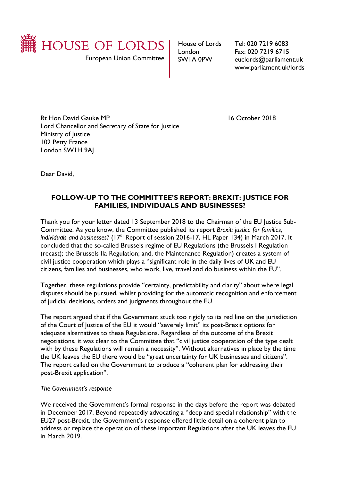

House of Lords London SW1A 0PW

Tel: 020 7219 6083 Fax: 020 7219 6715 euclords@parliament.uk www.parliament.uk/lords

Rt Hon David Gauke MP 16 October 2018 Lord Chancellor and Secretary of State for Justice Ministry of Justice 102 Petty France London SW1H 9AJ

Dear David,

## **FOLLOW-UP TO THE COMMITTEE'S REPORT: BREXIT: JUSTICE FOR FAMILIES, INDIVIDUALS AND BUSINESSES?**

Thank you for your letter dated 13 September 2018 to the Chairman of the EU Justice Sub-Committee. As you know, the Committee published its report *Brexit: justice for families,*  individuals and businesses? (17<sup>th</sup> Report of session 2016-17, HL Paper 134) in March 2017. It concluded that the so-called Brussels regime of EU Regulations (the Brussels I Regulation (recast); the Brussels IIa Regulation; and, the Maintenance Regulation) creates a system of civil justice cooperation which plays a "significant role in the daily lives of UK and EU citizens, families and businesses, who work, live, travel and do business within the EU".

Together, these regulations provide "certainty, predictability and clarity" about where legal disputes should be pursued, whilst providing for the automatic recognition and enforcement of judicial decisions, orders and judgments throughout the EU.

The report argued that if the Government stuck too rigidly to its red line on the jurisdiction of the Court of Justice of the EU it would "severely limit" its post-Brexit options for adequate alternatives to these Regulations. Regardless of the outcome of the Brexit negotiations, it was clear to the Committee that "civil justice cooperation of the type dealt with by these Regulations will remain a necessity". Without alternatives in place by the time the UK leaves the EU there would be "great uncertainty for UK businesses and citizens". The report called on the Government to produce a "coherent plan for addressing their post-Brexit application".

*The Government's response*

We received the Government's formal response in the days before the report was debated in December 2017. Beyond repeatedly advocating a "deep and special relationship" with the EU27 post-Brexit, the Government's response offered little detail on a coherent plan to address or replace the operation of these important Regulations after the UK leaves the EU in March 2019.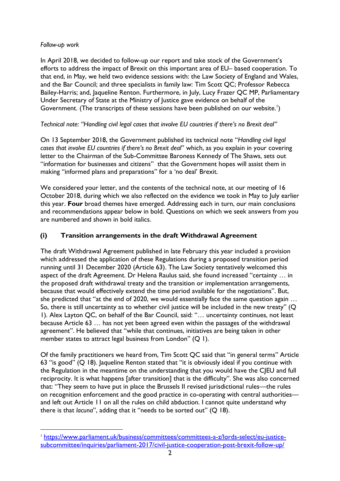### *Follow-up work*

 $\overline{a}$ 

In April 2018, we decided to follow-up our report and take stock of the Government's efforts to address the impact of Brexit on this important area of EU– based cooperation. To that end, in May, we held two evidence sessions with: the Law Society of England and Wales, and the Bar Council; and three specialists in family law: Tim Scott QC; Professor Rebecca Bailey-Harris; and, Jaqueline Renton. Furthermore, in July, Lucy Frazer QC MP, Parliamentary Under Secretary of State at the Ministry of Justice gave evidence on behalf of the Government. (The transcripts of these sessions have been published on our website.<sup>1</sup>)

## *Technical note: "Handling civil legal cases that involve EU countries if there's no Brexit deal"*

On 13 September 2018, the Government published its technical note "*Handling civil legal cases that involve EU countries if there's no Brexit deal*" which, as you explain in your covering letter to the Chairman of the Sub-Committee Baroness Kennedy of The Shaws, sets out "information for businesses and citizens" that the Government hopes will assist them in making "informed plans and preparations" for a 'no deal' Brexit.

We considered your letter, and the contents of the technical note, at our meeting of 16 October 2018, during which we also reflected on the evidence we took in May to July earlier this year. **Four** broad themes have emerged. Addressing each in turn, our main conclusions and recommendations appear below in bold. Questions on which we seek answers from you are numbered and shown in bold italics.

## **(i) Transition arrangements in the draft Withdrawal Agreement**

The draft Withdrawal Agreement published in late February this year included a provision which addressed the application of these Regulations during a proposed transition period running until 31 December 2020 (Article 63). The Law Society tentatively welcomed this aspect of the draft Agreement. Dr Helena Raulus said, she found increased "certainty … in the proposed draft withdrawal treaty and the transition or implementation arrangements, because that would effectively extend the time period available for the negotiations". But, she predicted that "at the end of 2020, we would essentially face the same question again … So, there is still uncertainty as to whether civil justice will be included in the new treaty" (Q 1). Alex Layton QC, on behalf of the Bar Council, said: "… uncertainty continues, not least because Article 63 … has not yet been agreed even within the passages of the withdrawal agreement". He believed that "while that continues, initiatives are being taken in other member states to attract legal business from London" (Q 1).

Of the family practitioners we heard from, Tim Scott QC said that "in general terms" Article 63 "is good" (Q 18). Jaqueline Renton stated that "it is obviously ideal if you continue with the Regulation in the meantime on the understanding that you would have the CJEU and full reciprocity. It is what happens [after transition] that is the difficulty". She was also concerned that: "They seem to have put in place the Brussels II revised jurisdictional rules—the rules on recognition enforcement and the good practice in co-operating with central authorities and left out Article 11 on all the rules on child abduction. I cannot quite understand why there is that *lacuna*", adding that it "needs to be sorted out" (Q 18).

<sup>1</sup> [https://www.parliament.uk/business/committees/committees-a-z/lords-select/eu-justice](https://www.parliament.uk/business/committees/committees-a-z/lords-select/eu-justice-subcommittee/inquiries/parliament-2017/civil-justice-cooperation-post-brexit-follow-up/)[subcommittee/inquiries/parliament-2017/civil-justice-cooperation-post-brexit-follow-up/](https://www.parliament.uk/business/committees/committees-a-z/lords-select/eu-justice-subcommittee/inquiries/parliament-2017/civil-justice-cooperation-post-brexit-follow-up/)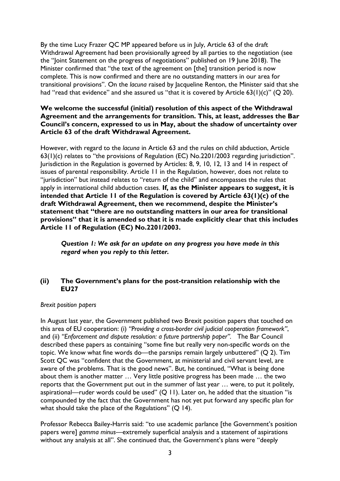By the time Lucy Frazer QC MP appeared before us in July, Article 63 of the draft Withdrawal Agreement had been provisionally agreed by all parties to the negotiation (see the "Joint Statement on the progress of negotiations" published on 19 June 2018). The Minister confirmed that "the text of the agreement on [the] transition period is now complete. This is now confirmed and there are no outstanding matters in our area for transitional provisions". On the *lacuna* raised by Jacqueline Renton, the Minister said that she had "read that evidence" and she assured us "that it is covered by Article  $63(1)(c)$ " (Q 20).

### **We welcome the successful (initial) resolution of this aspect of the Withdrawal Agreement and the arrangements for transition. This, at least, addresses the Bar Council's concern, expressed to us in May, about the shadow of uncertainty over Article 63 of the draft Withdrawal Agreement.**

However, with regard to the *lacuna* in Article 63 and the rules on child abduction, Article 63(1)(c) relates to "the provisions of Regulation (EC) No.2201/2003 regarding jurisdiction". Jurisdiction in the Regulation is governed by Articles: 8, 9, 10, 12, 13 and 14 in respect of issues of parental responsibility. Article 11 in the Regulation, however, does not relate to "jurisdiction" but instead relates to "return of the child" and encompasses the rules that apply in international child abduction cases. **If, as the Minister appears to suggest, it is intended that Article 11 of the Regulation is covered by Article 63(1)(c) of the draft Withdrawal Agreement, then we recommend, despite the Minister's statement that "there are no outstanding matters in our area for transitional provisions" that it is amended so that it is made explicitly clear that this includes Article 11 of Regulation (EC) No.2201/2003.**

*Question 1: We ask for an update on any progress you have made in this regard when you reply to this letter.*

### **(ii) The Government's plans for the post-transition relationship with the EU27**

#### *Brexit position papers*

In August last year, the Government published two Brexit position papers that touched on this area of EU cooperation: (i) *"Providing a cross-border civil judicial cooperation framework"*, and (ii) *"Enforcement and dispute resolution: a future partnership paper".* The Bar Council described these papers as containing "some fine but really very non-specific words on the topic. We know what fine words do—the parsnips remain largely unbuttered" (Q 2). Tim Scott QC was "confident that the Government, at ministerial and civil servant level, are aware of the problems. That is the good news". But, he continued, "What is being done about them is another matter … Very little positive progress has been made … the two reports that the Government put out in the summer of last year … were, to put it politely, aspirational—ruder words could be used" (Q 11). Later on, he added that the situation "is compounded by the fact that the Government has not yet put forward any specific plan for what should take the place of the Regulations" (Q 14).

Professor Rebecca Bailey-Harris said: "to use academic parlance [the Government's position papers were] *gamma minus*—extremely superficial analysis and a statement of aspirations without any analysis at all". She continued that, the Government's plans were "deeply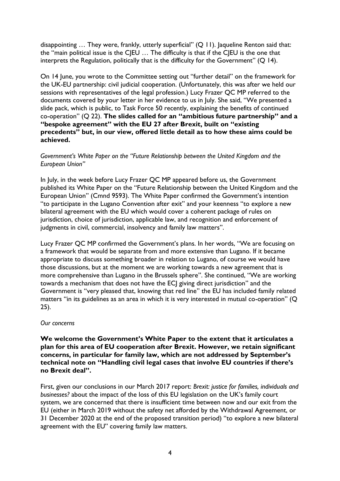disappointing ... They were, frankly, utterly superficial" (Q 11). Jaqueline Renton said that: the "main political issue is the CJEU ... The difficulty is that if the CJEU is the one that interprets the Regulation, politically that is the difficulty for the Government" (Q 14).

On 14 June, you wrote to the Committee setting out "further detail" on the framework for the UK-EU partnership: civil judicial cooperation. (Unfortunately, this was after we held our sessions with representatives of the legal profession.) Lucy Frazer QC MP referred to the documents covered by your letter in her evidence to us in July. She said, "We presented a slide pack, which is public, to Task Force 50 recently, explaining the benefits of continued co-operation" (Q 22). **The slides called for an "ambitious future partnership" and a "bespoke agreement" with the EU 27 after Brexit, built on "existing precedents" but, in our view, offered little detail as to how these aims could be achieved.** 

### *Government's White Paper on the "Future Relationship between the United Kingdom and the European Union"*

In July, in the week before Lucy Frazer QC MP appeared before us, the Government published its White Paper on the "Future Relationship between the United Kingdom and the European Union" (Cmnd 9593). The White Paper confirmed the Government's intention "to participate in the Lugano Convention after exit" and your keenness "to explore a new bilateral agreement with the EU which would cover a coherent package of rules on jurisdiction, choice of jurisdiction, applicable law, and recognition and enforcement of judgments in civil, commercial, insolvency and family law matters".

Lucy Frazer QC MP confirmed the Government's plans. In her words, "We are focusing on a framework that would be separate from and more extensive than Lugano. If it became appropriate to discuss something broader in relation to Lugano, of course we would have those discussions, but at the moment we are working towards a new agreement that is more comprehensive than Lugano in the Brussels sphere". She continued, "We are working towards a mechanism that does not have the ECJ giving direct jurisdiction" and the Government is "very pleased that, knowing that red line" the EU has included family related matters "in its guidelines as an area in which it is very interested in mutual co-operation" (Q 25).

#### *Our concerns*

**We welcome the Government's White Paper to the extent that it articulates a plan for this area of EU cooperation after Brexit. However, we retain significant concerns, in particular for family law, which are not addressed by September's technical note on "Handling civil legal cases that involve EU countries if there's no Brexit deal".** 

First, given our conclusions in our March 2017 report: *Brexit: justice for families, individuals and businesses?* about the impact of the loss of this EU legislation on the UK's family court system, we are concerned that there is insufficient time between now and our exit from the EU (either in March 2019 without the safety net afforded by the Withdrawal Agreement, or 31 December 2020 at the end of the proposed transition period) "to explore a new bilateral agreement with the EU" covering family law matters.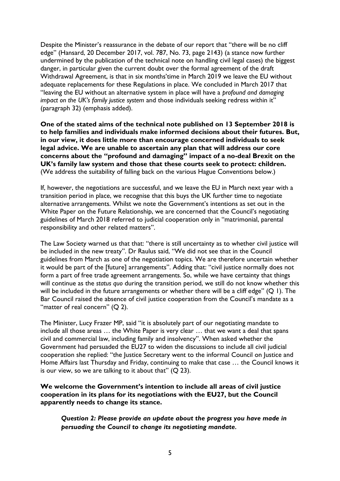Despite the Minister's reassurance in the debate of our report that "there will be no cliff edge" (Hansard, 20 December 2017, vol. 787, No. 73, page 2143) (a stance now further undermined by the publication of the technical note on handling civil legal cases) the biggest danger, in particular given the current doubt over the formal agreement of the draft Withdrawal Agreement, is that in six months'time in March 2019 we leave the EU without adequate replacements for these Regulations in place. We concluded in March 2017 that "leaving the EU without an alternative system in place will have a *profound and damaging impact on the UK's family justice system* and those individuals seeking redress within it" (paragraph 32) (emphasis added).

**One of the stated aims of the technical note published on 13 September 2018 is to help families and individuals make informed decisions about their futures. But, in our view, it does little more than encourage concerned individuals to seek legal advice. We are unable to ascertain any plan that will address our core concerns about the "profound and damaging" impact of a no-deal Brexit on the UK's family law system and those that these courts seek to protect: children.** (We address the suitability of falling back on the various Hague Conventions below.)

If, however, the negotiations are successful, and we leave the EU in March next year with a transition period in place, we recognise that this buys the UK further time to negotiate alternative arrangements. Whilst we note the Government's intentions as set out in the White Paper on the Future Relationship, we are concerned that the Council's negotiating guidelines of March 2018 referred to judicial cooperation only in "matrimonial, parental responsibility and other related matters".

The Law Society warned us that that: "there is still uncertainty as to whether civil justice will be included in the new treaty". Dr Raulus said, "We did not see that in the Council guidelines from March as one of the negotiation topics. We are therefore uncertain whether it would be part of the [future] arrangements". Adding that: "civil justice normally does not form a part of free trade agreement arrangements. So, while we have certainty that things will continue as the *status quo* during the transition period, we still do not know whether this will be included in the future arrangements or whether there will be a cliff edge" (Q 1). The Bar Council raised the absence of civil justice cooperation from the Council's mandate as a "matter of real concern"  $(Q 2)$ .

The Minister, Lucy Frazer MP, said "it is absolutely part of our negotiating mandate to include all those areas … the White Paper is very clear … that we want a deal that spans civil and commercial law, including family and insolvency". When asked whether the Government had persuaded the EU27 to widen the discussions to include all civil judicial cooperation she replied: "the Justice Secretary went to the informal Council on Justice and Home Affairs last Thursday and Friday, continuing to make that case … the Council knows it is our view, so we are talking to it about that"  $(Q 23)$ .

**We welcome the Government's intention to include all areas of civil justice cooperation in its plans for its negotiations with the EU27, but the Council apparently needs to change its stance.** 

*Question 2: Please provide an update about the progress you have made in persuading the Council to change its negotiating mandate.*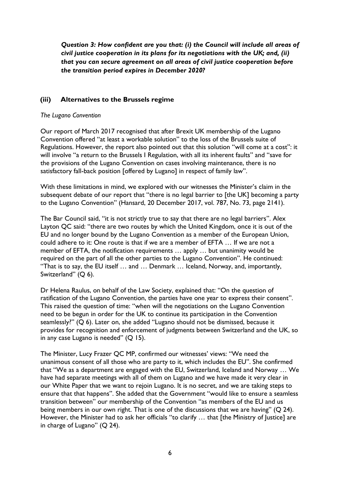*Question 3: How confident are you that: (i) the Council will include all areas of civil justice cooperation in its plans for its negotiations with the UK; and, (ii) that you can secure agreement on all areas of civil justice cooperation before the transition period expires in December 2020?*

### **(iii) Alternatives to the Brussels regime**

#### *The Lugano Convention*

Our report of March 2017 recognised that after Brexit UK membership of the Lugano Convention offered "at least a workable solution" to the loss of the Brussels suite of Regulations. However, the report also pointed out that this solution "will come at a cost": it will involve "a return to the Brussels I Regulation, with all its inherent faults" and "save for the provisions of the Lugano Convention on cases involving maintenance, there is no satisfactory fall-back position [offered by Lugano] in respect of family law".

With these limitations in mind, we explored with our witnesses the Minister's claim in the subsequent debate of our report that "there is no legal barrier to [the UK] becoming a party to the Lugano Convention" (Hansard, 20 December 2017, vol. 787, No. 73, page 2141).

The Bar Council said, "it is not strictly true to say that there are no legal barriers". Alex Layton QC said: "there are two routes by which the United Kingdom, once it is out of the EU and no longer bound by the Lugano Convention as a member of the European Union, could adhere to it: One route is that if we are a member of EFTA … If we are not a member of EFTA, the notification requirements … apply … but unanimity would be required on the part of all the other parties to the Lugano Convention". He continued: "That is to say, the EU itself … and … Denmark … Iceland, Norway, and, importantly, Switzerland" (Q 6).

Dr Helena Raulus, on behalf of the Law Society, explained that: "On the question of ratification of the Lugano Convention, the parties have one year to express their consent". This raised the question of time: "when will the negotiations on the Lugano Convention need to be begun in order for the UK to continue its participation in the Convention seamlessly?" (Q 6). Later on, she added "Lugano should not be dismissed, because it provides for recognition and enforcement of judgments between Switzerland and the UK, so in any case Lugano is needed" (Q 15).

The Minister, Lucy Frazer QC MP, confirmed our witnesses' views: "We need the unanimous consent of all those who are party to it, which includes the EU". She confirmed that "We as a department are engaged with the EU, Switzerland, Iceland and Norway … We have had separate meetings with all of them on Lugano and we have made it very clear in our White Paper that we want to rejoin Lugano. It is no secret, and we are taking steps to ensure that that happens". She added that the Government "would like to ensure a seamless transition between" our membership of the Convention "as members of the EU and us being members in our own right. That is one of the discussions that we are having" (Q 24). However, the Minister had to ask her officials "to clarify ... that [the Ministry of Justice] are in charge of Lugano" (Q 24).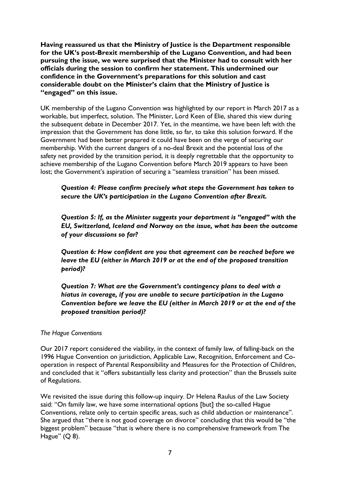**Having reassured us that the Ministry of Justice is the Department responsible for the UK's post-Brexit membership of the Lugano Convention, and had been pursuing the issue, we were surprised that the Minister had to consult with her officials during the session to confirm her statement. This undermined our confidence in the Government's preparations for this solution and cast considerable doubt on the Minister's claim that the Ministry of Justice is "engaged" on this issue.** 

UK membership of the Lugano Convention was highlighted by our report in March 2017 as a workable, but imperfect, solution. The Minister, Lord Keen of Elie, shared this view during the subsequent debate in December 2017. Yet, in the meantime, we have been left with the impression that the Government has done little, so far, to take this solution forward. If the Government had been better prepared it could have been on the verge of securing our membership. With the current dangers of a no-deal Brexit and the potential loss of the safety net provided by the transition period, it is deeply regrettable that the opportunity to achieve membership of the Lugano Convention before March 2019 appears to have been lost; the Government's aspiration of securing a "seamless transition" has been missed.

*Question 4: Please confirm precisely what steps the Government has taken to secure the UK's participation in the Lugano Convention after Brexit.*

*Question 5: If, as the Minister suggests your department is "engaged" with the EU, Switzerland, Iceland and Norway on the issue, what has been the outcome of your discussions so far?* 

*Question 6: How confident are you that agreement can be reached before we leave the EU (either in March 2019 or at the end of the proposed transition period)?* 

*Question 7: What are the Government's contingency plans to deal with a hiatus in coverage, if you are unable to secure participation in the Lugano Convention before we leave the EU (either in March 2019 or at the end of the proposed transition period)?* 

#### *The Hague Conventions*

Our 2017 report considered the viability, in the context of family law, of falling-back on the 1996 Hague Convention on jurisdiction, Applicable Law, Recognition, Enforcement and Cooperation in respect of Parental Responsibility and Measures for the Protection of Children, and concluded that it "offers substantially less clarity and protection" than the Brussels suite of Regulations.

We revisited the issue during this follow-up inquiry. Dr Helena Raulus of the Law Society said: "On family law, we have some international options [but] the so-called Hague Conventions, relate only to certain specific areas, such as child abduction or maintenance". She argued that "there is not good coverage on divorce" concluding that this would be "the biggest problem" because "that is where there is no comprehensive framework from The Hague" (Q 8).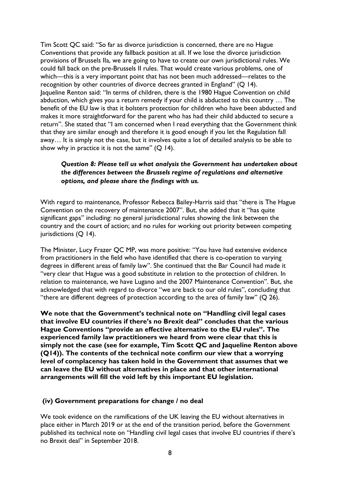Tim Scott QC said: "So far as divorce jurisdiction is concerned, there are no Hague Conventions that provide any fallback position at all. If we lose the divorce jurisdiction provisions of Brussels IIa, we are going to have to create our own jurisdictional rules. We could fall back on the pre-Brussels II rules. That would create various problems, one of which—this is a very important point that has not been much addressed—relates to the recognition by other countries of divorce decrees granted in England" (Q 14). Jaqueline Renton said: "In terms of children, there is the 1980 Hague Convention on child abduction, which gives you a return remedy if your child is abducted to this country … The benefit of the EU law is that it bolsters protection for children who have been abducted and makes it more straightforward for the parent who has had their child abducted to secure a return". She stated that "I am concerned when I read everything that the Government think that they are similar enough and therefore it is good enough if you let the Regulation fall away… It is simply not the case, but it involves quite a lot of detailed analysis to be able to show why in practice it is not the same"  $(Q | 4)$ .

# *Question 8: Please tell us what analysis the Government has undertaken about the differences between the Brussels regime of regulations and alternative options, and please share the findings with us.*

With regard to maintenance, Professor Rebecca Bailey-Harris said that "there is The Hague Convention on the recovery of maintenance 2007". But, she added that it "has quite significant gaps" including: no general jurisdictional rules showing the link between the country and the court of action; and no rules for working out priority between competing jurisdictions (Q 14).

The Minister, Lucy Frazer QC MP, was more positive: "You have had extensive evidence from practitioners in the field who have identified that there is co-operation to varying degrees in different areas of family law". She continued that the Bar Council had made it "very clear that Hague was a good substitute in relation to the protection of children. In relation to maintenance, we have Lugano and the 2007 Maintenance Convention". But, she acknowledged that with regard to divorce "we are back to our old rules", concluding that "there are different degrees of protection according to the area of family law" (Q 26).

**We note that the Government's technical note on "Handling civil legal cases that involve EU countries if there's no Brexit deal" concludes that the various Hague Conventions "provide an effective alternative to the EU rules". The experienced family law practitioners we heard from were clear that this is simply not the case (see for example, Tim Scott QC and Jaqueline Renton above (Q14)). The contents of the technical note confirm our view that a worrying level of complacency has taken hold in the Government that assumes that we can leave the EU without alternatives in place and that other international arrangements will fill the void left by this important EU legislation.**

### **(iv) Government preparations for change / no deal**

We took evidence on the ramifications of the UK leaving the EU without alternatives in place either in March 2019 or at the end of the transition period, before the Government published its technical note on "Handling civil legal cases that involve EU countries if there's no Brexit deal" in September 2018.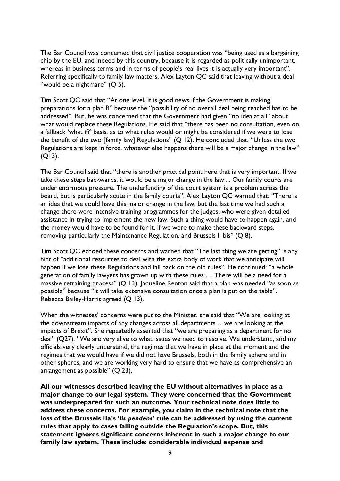The Bar Council was concerned that civil justice cooperation was "being used as a bargaining chip by the EU, and indeed by this country, because it is regarded as politically unimportant, whereas in business terms and in terms of people's real lives it is actually very important". Referring specifically to family law matters, Alex Layton QC said that leaving without a deal "would be a nightmare" (Q 5).

Tim Scott QC said that "At one level, it is good news if the Government is making preparations for a plan B" because the "possibility of no overall deal being reached has to be addressed". But, he was concerned that the Government had given "no idea at all" about what would replace these Regulations. He said that "there has been no consultation, even on a fallback 'what if?' basis, as to what rules would or might be considered if we were to lose the benefit of the two [family law] Regulations" (Q 12). He concluded that, "Unless the two Regulations are kept in force, whatever else happens there will be a major change in the law" (Q13).

The Bar Council said that "there is another practical point here that is very important. If we take these steps backwards, it would be a major change in the law ... Our family courts are under enormous pressure. The underfunding of the court system is a problem across the board, but is particularly acute in the family courts". Alex Layton QC warned that: "There is an idea that we could have this major change in the law, but the last time we had such a change there were intensive training programmes for the judges, who were given detailed assistance in trying to implement the new law. Such a thing would have to happen again, and the money would have to be found for it, if we were to make these backward steps, removing particularly the Maintenance Regulation, and Brussels II bis" (Q 8).

Tim Scott QC echoed these concerns and warned that "The last thing we are getting" is any hint of "additional resources to deal with the extra body of work that we anticipate will happen if we lose these Regulations and fall back on the old rules". He continued: "a whole generation of family lawyers has grown up with these rules … There will be a need for a massive retraining process" (Q 13). Jaqueline Renton said that a plan was needed "as soon as possible" because "it will take extensive consultation once a plan is put on the table". Rebecca Bailey-Harris agreed (Q 13).

When the witnesses' concerns were put to the Minister, she said that "We are looking at the downstream impacts of any changes across all departments …we are looking at the impacts of Brexit". She repeatedly asserted that "we are preparing as a department for no deal" (Q27). "We are very alive to what issues we need to resolve. We understand, and my officials very clearly understand, the regimes that we have in place at the moment and the regimes that we would have if we did not have Brussels, both in the family sphere and in other spheres, and we are working very hard to ensure that we have as comprehensive an arrangement as possible" (Q 23).

**All our witnesses described leaving the EU without alternatives in place as a major change to our legal system. They were concerned that the Government was underprepared for such an outcome. Your technical note does little to address these concerns. For example, you claim in the technical note that the loss of the Brussels IIa's '***lis pendens***' rule can be addressed by using the current rules that apply to cases falling outside the Regulation's scope. But, this statement ignores significant concerns inherent in such a major change to our family law system. These include: considerable individual expense and**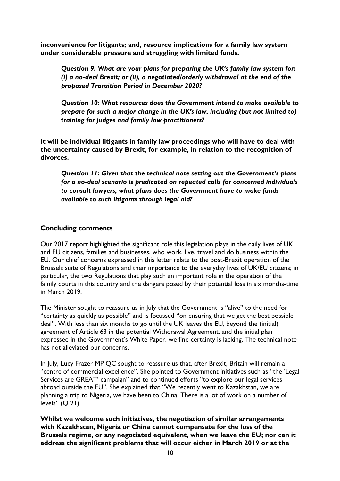**inconvenience for litigants; and, resource implications for a family law system under considerable pressure and struggling with limited funds.** 

*Question 9: What are your plans for preparing the UK's family law system for: (i) a no-deal Brexit; or (ii), a negotiated/orderly withdrawal at the end of the proposed Transition Period in December 2020?* 

*Question 10: What resources does the Government intend to make available to prepare for such a major change in the UK's law, including (but not limited to) training for judges and family law practitioners?*

**It will be individual litigants in family law proceedings who will have to deal with the uncertainty caused by Brexit, for example, in relation to the recognition of divorces.** 

*Question 11: Given that the technical note setting out the Government's plans for a no-deal scenario is predicated on repeated calls for concerned individuals to consult lawyers, what plans does the Government have to make funds available to such litigants through legal aid?*

### **Concluding comments**

Our 2017 report highlighted the significant role this legislation plays in the daily lives of UK and EU citizens, families and businesses, who work, live, travel and do business within the EU. Our chief concerns expressed in this letter relate to the post-Brexit operation of the Brussels suite of Regulations and their importance to the everyday lives of UK/EU citizens; in particular, the two Regulations that play such an important role in the operation of the family courts in this country and the dangers posed by their potential loss in six months-time in March 2019.

The Minister sought to reassure us in July that the Government is "alive" to the need for "certainty as quickly as possible" and is focussed "on ensuring that we get the best possible deal". With less than six months to go until the UK leaves the EU, beyond the (initial) agreement of Article 63 in the potential Withdrawal Agreement, and the initial plan expressed in the Government's White Paper, we find certainty is lacking. The technical note has not alleviated our concerns.

In July, Lucy Frazer MP QC sought to reassure us that, after Brexit, Britain will remain a "centre of commercial excellence". She pointed to Government initiatives such as "the 'Legal Services are GREAT' campaign" and to continued efforts "to explore our legal services abroad outside the EU". She explained that "We recently went to Kazakhstan, we are planning a trip to Nigeria, we have been to China. There is a lot of work on a number of levels" (Q 21).

**Whilst we welcome such initiatives, the negotiation of similar arrangements with Kazakhstan, Nigeria or China cannot compensate for the loss of the Brussels regime, or any negotiated equivalent, when we leave the EU; nor can it address the significant problems that will occur either in March 2019 or at the**